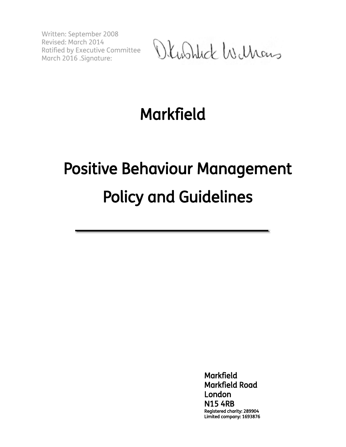Written: September 2008 Revised: March 2014 Ratified by Executive Committee March 2016 .Signature:

Okushlick Wilhams

## Markfield

# Positive Behaviour Management Policy and Guidelines

**Markfield** Markfield Road London N15 4RB Registered charity: 289904 Limited company: 1693876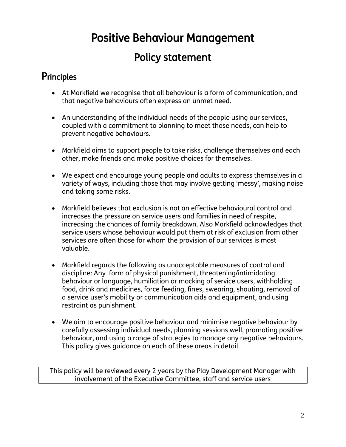## Positive Behaviour Management

### Policy statement

#### **Principles**

- At Markfield we recognise that all behaviour is a form of communication, and that negative behaviours often express an unmet need.
- An understanding of the individual needs of the people using our services, coupled with a commitment to planning to meet those needs, can help to prevent negative behaviours.
- Markfield aims to support people to take risks, challenge themselves and each other, make friends and make positive choices for themselves.
- We expect and encourage young people and adults to express themselves in a variety of ways, including those that may involve getting 'messy', making noise and taking some risks.
- Markfield believes that exclusion is not an effective behavioural control and increases the pressure on service users and families in need of respite, increasing the chances of family breakdown. Also Markfield acknowledges that service users whose behaviour would put them at risk of exclusion from other services are often those for whom the provision of our services is most valuable.
- Markfield regards the following as unacceptable measures of control and discipline: Any form of physical punishment, threatening/intimidating behaviour or language, humiliation or mocking of service users, withholding food, drink and medicines, force feeding, fines, swearing, shouting, removal of a service user's mobility or communication aids and equipment, and using restraint as punishment.
- We aim to encourage positive behaviour and minimise negative behaviour by carefully assessing individual needs, planning sessions well, promoting positive behaviour, and using a range of strategies to manage any negative behaviours. This policy gives guidance on each of these areas in detail.

This policy will be reviewed every 2 years by the Play Development Manager with involvement of the Executive Committee, staff and service users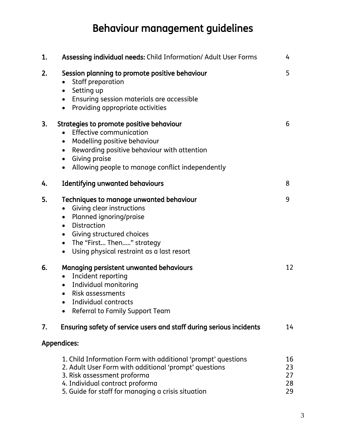## Behaviour management guidelines

| 1. | Assessing individual needs: Child Information/ Adult User Forms                                                                                                                                                                                                                                            | 4                          |
|----|------------------------------------------------------------------------------------------------------------------------------------------------------------------------------------------------------------------------------------------------------------------------------------------------------------|----------------------------|
| 2. | Session planning to promote positive behaviour<br>Staff preparation<br>Setting up<br>$\bullet$<br>Ensuring session materials are accessible<br>$\bullet$<br>Providing appropriate activities<br>$\bullet$                                                                                                  | 5                          |
| 3. | Strategies to promote positive behaviour<br><b>Effective communication</b><br>Modelling positive behaviour<br>$\bullet$<br>Rewarding positive behaviour with attention<br>$\bullet$<br>Giving praise<br>$\bullet$<br>Allowing people to manage conflict independently                                      | 6                          |
| 4. | <b>Identifying unwanted behaviours</b>                                                                                                                                                                                                                                                                     | 8                          |
| 5. | Techniques to manage unwanted behaviour<br>Giving clear instructions<br>$\bullet$<br>Planned ignoring/praise<br>$\bullet$<br><b>Distraction</b><br>$\bullet$<br>Giving structured choices<br>$\bullet$<br>The "First Then" strategy<br>$\bullet$<br>Using physical restraint as a last resort<br>$\bullet$ | 9                          |
| 6. | Managing persistent unwanted behaviours<br>Incident reporting<br>$\bullet$<br>Individual monitoring<br>$\bullet$<br>Risk assessments<br>Individual contracts<br>$\bullet$<br>Referral to Family Support Team                                                                                               | 12                         |
| 7. | Ensuring safety of service users and staff during serious incidents                                                                                                                                                                                                                                        | 14                         |
|    | <b>Appendices:</b>                                                                                                                                                                                                                                                                                         |                            |
|    | 1. Child Information Form with additional 'prompt' questions<br>2. Adult User Form with additional 'prompt' questions<br>3. Risk assessment proforma<br>4. Individual contract proforma<br>5. Guide for staff for managing a crisis situation                                                              | 16<br>23<br>27<br>28<br>29 |

3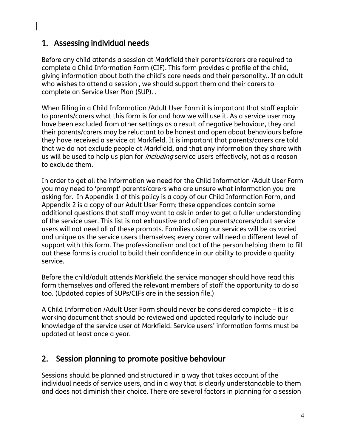#### 1. Assessing individual needs

Before any child attends a session at Markfield their parents/carers are required to complete a Child Information Form (CIF). This form provides a profile of the child, giving information about both the child's care needs and their personality.. If an adult who wishes to attend a session , we should support them and their carers to complete an Service User Plan (SUP). .

When filling in a Child Information /Adult User Form it is important that staff explain to parents/carers what this form is for and how we will use it. As a service user may have been excluded from other settings as a result of negative behaviour, they and their parents/carers may be reluctant to be honest and open about behaviours before they have received a service at Markfield. It is important that parents/carers are told that we do not exclude people at Markfield, and that any information they share with us will be used to help us plan for *including* service users effectively, not as a reason to exclude them.

In order to get all the information we need for the Child Information /Adult User Form you may need to 'prompt' parents/carers who are unsure what information you are asking for. In Appendix 1 of this policy is a copy of our Child Information Form, and Appendix 2 is a copy of our Adult User Form; these appendices contain some additional questions that staff may want to ask in order to get a fuller understanding of the service user. This list is not exhaustive and often parents/carers/adult service users will not need all of these prompts. Families using our services will be as varied and unique as the service users themselves; every carer will need a different level of support with this form. The professionalism and tact of the person helping them to fill out these forms is crucial to build their confidence in our ability to provide a quality service.

Before the child/adult attends Markfield the service manager should have read this form themselves and offered the relevant members of staff the opportunity to do so too. (Updated copies of SUPs/CIFs are in the session file.)

A Child Information /Adult User Form should never be considered complete – it is a working document that should be reviewed and updated regularly to include our knowledge of the service user at Markfield. Service users' information forms must be updated at least once a year.

#### 2. Session planning to promote positive behaviour

Sessions should be planned and structured in a way that takes account of the individual needs of service users, and in a way that is clearly understandable to them and does not diminish their choice. There are several factors in planning for a session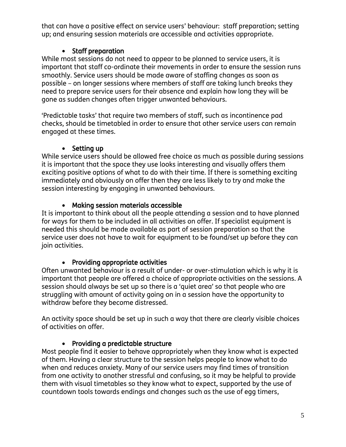that can have a positive effect on service users' behaviour: staff preparation; setting up; and ensuring session materials are accessible and activities appropriate.

#### • Staff preparation

While most sessions do not need to appear to be planned to service users, it is important that staff co-ordinate their movements in order to ensure the session runs smoothly. Service users should be made aware of staffing changes as soon as possible – on longer sessions where members of staff are taking lunch breaks they need to prepare service users for their absence and explain how long they will be gone as sudden changes often trigger unwanted behaviours.

'Predictable tasks' that require two members of staff, such as incontinence pad checks, should be timetabled in order to ensure that other service users can remain engaged at these times.

#### • Setting up

While service users should be allowed free choice as much as possible during sessions it is important that the space they use looks interesting and visually offers them exciting positive options of what to do with their time. If there is something exciting immediately and obviously on offer then they are less likely to try and make the session interesting by engaging in unwanted behaviours.

#### Making session materials accessible

It is important to think about all the people attending a session and to have planned for ways for them to be included in all activities on offer. If specialist equipment is needed this should be made available as part of session preparation so that the service user does not have to wait for equipment to be found/set up before they can join activities.

#### • Providing appropriate activities

Often unwanted behaviour is a result of under- or over-stimulation which is why it is important that people are offered a choice of appropriate activities on the sessions. A session should always be set up so there is a 'quiet area' so that people who are struggling with amount of activity going on in a session have the opportunity to withdraw before they become distressed.

An activity space should be set up in such a way that there are clearly visible choices of activities on offer.

#### • Providing a predictable structure

Most people find it easier to behave appropriately when they know what is expected of them. Having a clear structure to the session helps people to know what to do when and reduces anxiety. Many of our service users may find times of transition from one activity to another stressful and confusing, so it may be helpful to provide them with visual timetables so they know what to expect, supported by the use of countdown tools towards endings and changes such as the use of egg timers,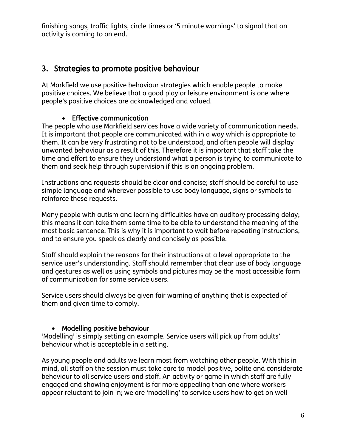finishing songs, traffic lights, circle times or '5 minute warnings' to signal that an activity is coming to an end.

#### 3. Strategies to promote positive behaviour

At Markfield we use positive behaviour strategies which enable people to make positive choices. We believe that a good play or leisure environment is one where people's positive choices are acknowledged and valued.

#### Effective communication

The people who use Markfield services have a wide variety of communication needs. It is important that people are communicated with in a way which is appropriate to them. It can be very frustrating not to be understood, and often people will display unwanted behaviour as a result of this. Therefore it is important that staff take the time and effort to ensure they understand what a person is trying to communicate to them and seek help through supervision if this is an ongoing problem.

Instructions and requests should be clear and concise; staff should be careful to use simple language and wherever possible to use body language, signs or symbols to reinforce these requests.

Many people with autism and learning difficulties have an auditory processing delay; this means it can take them some time to be able to understand the meaning of the most basic sentence. This is why it is important to wait before repeating instructions, and to ensure you speak as clearly and concisely as possible.

Staff should explain the reasons for their instructions at a level appropriate to the service user's understanding. Staff should remember that clear use of body language and gestures as well as using symbols and pictures may be the most accessible form of communication for some service users.

Service users should always be given fair warning of anything that is expected of them and given time to comply.

#### Modelling positive behaviour

'Modelling' is simply setting an example. Service users will pick up from adults' behaviour what is acceptable in a setting.

As young people and adults we learn most from watching other people. With this in mind, all staff on the session must take care to model positive, polite and considerate behaviour to all service users and staff. An activity or game in which staff are fully engaged and showing enjoyment is far more appealing than one where workers appear reluctant to join in; we are 'modelling' to service users how to get on well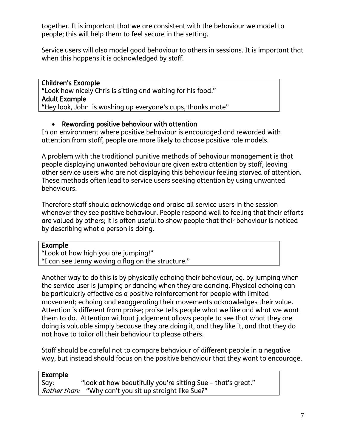together. It is important that we are consistent with the behaviour we model to people; this will help them to feel secure in the setting.

Service users will also model good behaviour to others in sessions. It is important that when this happens it is acknowledged by staff.

Children's Example "Look how nicely Chris is sitting and waiting for his food." Adult Example "Hey look, John is washing up everyone's cups, thanks mate"

#### Rewarding positive behaviour with attention

In an environment where positive behaviour is encouraged and rewarded with attention from staff, people are more likely to choose positive role models.

A problem with the traditional punitive methods of behaviour management is that people displaying unwanted behaviour are given extra attention by staff, leaving other service users who are not displaying this behaviour feeling starved of attention. These methods often lead to service users seeking attention by using unwanted behaviours.

Therefore staff should acknowledge and praise all service users in the session whenever they see positive behaviour. People respond well to feeling that their efforts are valued by others; it is often useful to show people that their behaviour is noticed by describing what a person is doing.

#### Example

"Look at how high you are jumping!" "I can see Jenny waving a flag on the structure."

Another way to do this is by physically echoing their behaviour, eg. by jumping when the service user is jumping or dancing when they are dancing. Physical echoing can be particularly effective as a positive reinforcement for people with limited movement; echoing and exaggerating their movements acknowledges their value. Attention is different from praise; praise tells people what we like and what we want them to do. Attention without judgement allows people to see that what they are doing is valuable simply because they are doing it, and they like it, and that they do not have to tailor all their behaviour to please others.

Staff should be careful not to compare behaviour of different people in a negative way, but instead should focus on the positive behaviour that they want to encourage.

| Example |                                                               |
|---------|---------------------------------------------------------------|
| Say:    | "look at how beautifully you're sitting Sue – that's great."  |
|         | <i>Rather than:</i> "Why can't you sit up straight like Sue?" |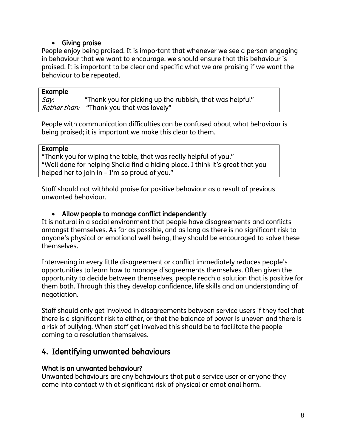#### Giving praise

People enjoy being praised. It is important that whenever we see a person engaging in behaviour that we want to encourage, we should ensure that this behaviour is praised. It is important to be clear and specific what we are praising if we want the behaviour to be repeated.

#### Example

Say: "Thank you for picking up the rubbish, that was helpful" Rather than: "Thank you that was lovely"

People with communication difficulties can be confused about what behaviour is being praised; it is important we make this clear to them.

#### Example

"Thank you for wiping the table, that was really helpful of you." "Well done for helping Sheila find a hiding place. I think it's great that you helped her to join in – I'm so proud of you."

Staff should not withhold praise for positive behaviour as a result of previous unwanted behaviour.

#### Allow people to manage conflict independently

It is natural in a social environment that people have disagreements and conflicts amongst themselves. As far as possible, and as long as there is no significant risk to anyone's physical or emotional well being, they should be encouraged to solve these themselves.

Intervening in every little disagreement or conflict immediately reduces people's opportunities to learn how to manage disagreements themselves. Often given the opportunity to decide between themselves, people reach a solution that is positive for them both. Through this they develop confidence, life skills and an understanding of negotiation.

Staff should only get involved in disagreements between service users if they feel that there is a significant risk to either, or that the balance of power is uneven and there is a risk of bullying. When staff get involved this should be to facilitate the people coming to a resolution themselves.

#### 4. Identifying unwanted behaviours

#### What is an unwanted behaviour?

Unwanted behaviours are any behaviours that put a service user or anyone they come into contact with at significant risk of physical or emotional harm.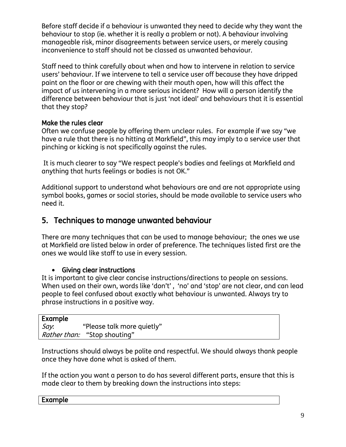Before staff decide if a behaviour is unwanted they need to decide why they want the behaviour to stop (ie. whether it is really a problem or not). A behaviour involving manageable risk, minor disagreements between service users, or merely causing inconvenience to staff should not be classed as unwanted behaviour.

Staff need to think carefully about when and how to intervene in relation to service users' behaviour. If we intervene to tell a service user off because they have dripped paint on the floor or are chewing with their mouth open, how will this affect the impact of us intervening in a more serious incident? How will a person identify the difference between behaviour that is just 'not ideal' and behaviours that it is essential that they stop?

#### Make the rules clear

Often we confuse people by offering them unclear rules. For example if we say "we have a rule that there is no hitting at Markfield", this may imply to a service user that pinching or kicking is not specifically against the rules.

It is much clearer to say "We respect people's bodies and feelings at Markfield and anything that hurts feelings or bodies is not OK."

Additional support to understand what behaviours are and are not appropriate using symbol books, games or social stories, should be made available to service users who need it.

#### 5. Techniques to manage unwanted behaviour

There are many techniques that can be used to manage behaviour; the ones we use at Markfield are listed below in order of preference. The techniques listed first are the ones we would like staff to use in every session.

#### Giving clear instructions

It is important to give clear concise instructions/directions to people on sessions. When used on their own, words like 'don't' , 'no' and 'stop' are not clear, and can lead people to feel confused about exactly what behaviour is unwanted. Always try to phrase instructions in a positive way.

| Example |                                     |  |
|---------|-------------------------------------|--|
| Say.    | "Please talk more quietly"          |  |
|         | <i>Rather than:</i> "Stop shouting" |  |

Instructions should always be polite and respectful. We should always thank people once they have done what is asked of them.

If the action you want a person to do has several different parts, ensure that this is made clear to them by breaking down the instructions into steps:

| txample |
|---------|
|---------|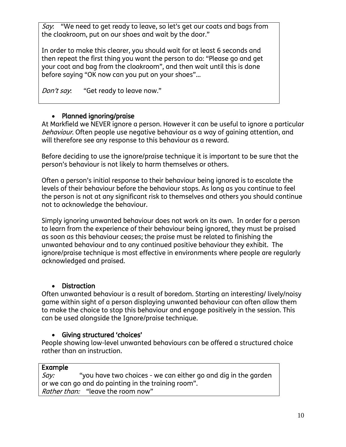Say: "We need to get ready to leave, so let's get our coats and bags from the cloakroom, put on our shoes and wait by the door."

In order to make this clearer, you should wait for at least 6 seconds and then repeat the first thing you want the person to do: "Please go and get your coat and bag from the cloakroom", and then wait until this is done before saying "OK now can you put on your shoes"…

Don't say: "Get ready to leave now."

#### • Planned ignoring/praise

At Markfield we NEVER ignore a person. However it can be useful to ignore a particular behaviour. Often people use negative behaviour as a way of gaining attention, and will therefore see any response to this behaviour as a reward.

Before deciding to use the ignore/praise technique it is important to be sure that the person's behaviour is not likely to harm themselves or others.

Often a person's initial response to their behaviour being ignored is to escalate the levels of their behaviour before the behaviour stops. As long as you continue to feel the person is not at any significant risk to themselves and others you should continue not to acknowledge the behaviour.

Simply ignoring unwanted behaviour does not work on its own. In order for a person to learn from the experience of their behaviour being ignored, they must be praised as soon as this behaviour ceases; the praise must be related to finishing the unwanted behaviour and to any continued positive behaviour they exhibit. The ignore/praise technique is most effective in environments where people are regularly acknowledged and praised.

#### • Distraction

Often unwanted behaviour is a result of boredom. Starting an interesting/ lively/noisy game within sight of a person displaying unwanted behaviour can often allow them to make the choice to stop this behaviour and engage positively in the session. This can be used alongside the Ignore/praise technique.

#### Giving structured 'choices'

People showing low-level unwanted behaviours can be offered a structured choice rather than an instruction.

#### Example

Say: "you have two choices - we can either go and dig in the garden or we can go and do painting in the training room". Rather than: "leave the room now"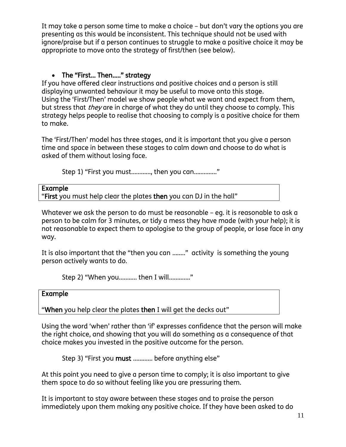It may take a person some time to make a choice – but don't vary the options you are presenting as this would be inconsistent. This technique should not be used with ignore/praise but if a person continues to struggle to make a positive choice it may be appropriate to move onto the strategy of first/then (see below).

#### The "First… Then….." strategy

If you have offered clear instructions and positive choices and a person is still displaying unwanted behaviour it may be useful to move onto this stage. Using the 'First/Then' model we show people what we want and expect from them, but stress that *they* are in charge of what they do until they choose to comply. This strategy helps people to realise that choosing to comply is a positive choice for them to make.

The 'First/Then' model has three stages, and it is important that you give a person time and space in between these stages to calm down and choose to do what is asked of them without losing face.

Step 1) "First you must…………, then you can………….."

| Example                                                            |
|--------------------------------------------------------------------|
| "First you must help clear the plates then you can DJ in the hall" |

Whatever we ask the person to do must be reasonable – eg. it is reasonable to ask a person to be calm for 3 minutes, or tidy a mess they have made (with your help); it is not reasonable to expect them to apologise to the group of people, or lose face in any way.

It is also important that the "then you can …….." activity is something the young person actively wants to do.

Step 2) "When you……….. then I will…………."

#### Example

"When you help clear the plates then I will get the decks out"

Using the word 'when' rather than 'if' expresses confidence that the person will make the right choice, and showing that you will do something as a consequence of that choice makes you invested in the positive outcome for the person.

Step 3) "First you must ............ before anything else"

At this point you need to give a person time to comply; it is also important to give them space to do so without feeling like you are pressuring them.

It is important to stay aware between these stages and to praise the person immediately upon them making any positive choice. If they have been asked to do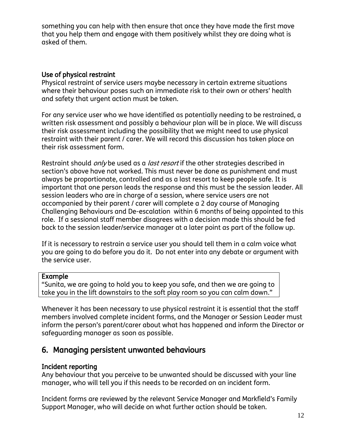something you can help with then ensure that once they have made the first move that you help them and engage with them positively whilst they are doing what is asked of them.

#### Use of physical restraint

Physical restraint of service users maybe necessary in certain extreme situations where their behaviour poses such an immediate risk to their own or others' health and safety that urgent action must be taken.

For any service user who we have identified as potentially needing to be restrained, a written risk assessment and possibly a behaviour plan will be in place. We will discuss their risk assessment including the possibility that we might need to use physical restraint with their parent / carer. We will record this discussion has taken place on their risk assessment form.

Restraint should *only* be used as a *last resort* if the other strategies described in section's above have not worked. This must never be done as punishment and must always be proportionate, controlled and as a last resort to keep people safe. It is important that one person leads the response and this must be the session leader. All session leaders who are in charge of a session, where service users are not accompanied by their parent / carer will complete a 2 day course of Managing Challenging Behaviours and De-escalation within 6 months of being appointed to this role. If a sessional staff member disagrees with a decision made this should be fed back to the session leader/service manager at a later point as part of the follow up.

If it is necessary to restrain a service user you should tell them in a calm voice what you are going to do before you do it. Do not enter into any debate or argument with the service user.

#### Example

"Sunita, we are going to hold you to keep you safe, and then we are going to take you in the lift downstairs to the soft play room so you can calm down."

Whenever it has been necessary to use physical restraint it is essential that the staff members involved complete incident forms, and the Manager or Session Leader must inform the person's parent/carer about what has happened and inform the Director or safeguarding manager as soon as possible.

#### 6. Managing persistent unwanted behaviours

#### Incident reporting

Any behaviour that you perceive to be unwanted should be discussed with your line manager, who will tell you if this needs to be recorded on an incident form.

Incident forms are reviewed by the relevant Service Manager and Markfield's Family Support Manager, who will decide on what further action should be taken.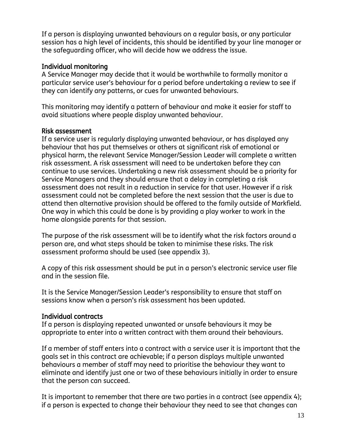If a person is displaying unwanted behaviours on a regular basis, or any particular session has a high level of incidents, this should be identified by your line manager or the safeguarding officer, who will decide how we address the issue.

#### Individual monitoring

A Service Manager may decide that it would be worthwhile to formally monitor a particular service user's behaviour for a period before undertaking a review to see if they can identify any patterns, or cues for unwanted behaviours.

This monitoring may identify a pattern of behaviour and make it easier for staff to avoid situations where people display unwanted behaviour.

#### Risk assessment

If a service user is regularly displaying unwanted behaviour, or has displayed any behaviour that has put themselves or others at significant risk of emotional or physical harm, the relevant Service Manager/Session Leader will complete a written risk assessment. A risk assessment will need to be undertaken before they can continue to use services. Undertaking a new risk assessment should be a priority for Service Managers and they should ensure that a delay in completing a risk assessment does not result in a reduction in service for that user. However if a risk assessment could not be completed before the next session that the user is due to attend then alternative provision should be offered to the family outside of Markfield. One way in which this could be done is by providing a play worker to work in the home alongside parents for that session.

The purpose of the risk assessment will be to identify what the risk factors around a person are, and what steps should be taken to minimise these risks. The risk assessment proforma should be used (see appendix 3).

A copy of this risk assessment should be put in a person's electronic service user file and in the session file.

It is the Service Manager/Session Leader's responsibility to ensure that staff on sessions know when a person's risk assessment has been updated.

#### Individual contracts

If a person is displaying repeated unwanted or unsafe behaviours it may be appropriate to enter into a written contract with them around their behaviours.

If a member of staff enters into a contract with a service user it is important that the goals set in this contract are achievable; if a person displays multiple unwanted behaviours a member of staff may need to prioritise the behaviour they want to eliminate and identify just one or two of these behaviours initially in order to ensure that the person can succeed.

It is important to remember that there are two parties in a contract (see appendix 4); if a person is expected to change their behaviour they need to see that changes can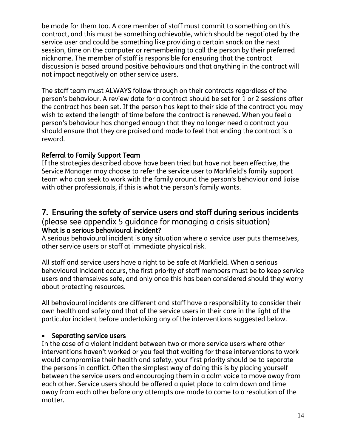be made for them too. A core member of staff must commit to something on this contract, and this must be something achievable, which should be negotiated by the service user and could be something like providing a certain snack on the next session, time on the computer or remembering to call the person by their preferred nickname. The member of staff is responsible for ensuring that the contract discussion is based around positive behaviours and that anything in the contract will not impact negatively on other service users.

The staff team must ALWAYS follow through on their contracts regardless of the person's behaviour. A review date for a contract should be set for 1 or 2 sessions after the contract has been set. If the person has kept to their side of the contract you may wish to extend the length of time before the contract is renewed. When you feel a person's behaviour has changed enough that they no longer need a contract you should ensure that they are praised and made to feel that ending the contract is a reward.

#### Referral to Family Support Team

If the strategies described above have been tried but have not been effective, the Service Manager may choose to refer the service user to Markfield's family support team who can seek to work with the family around the person's behaviour and liaise with other professionals, if this is what the person's family wants.

#### 7. Ensuring the safety of service users and staff during serious incidents

#### (please see appendix 5 guidance for managing a crisis situation) What is a serious behavioural incident?

A serious behavioural incident is any situation where a service user puts themselves, other service users or staff at immediate physical risk.

All staff and service users have a right to be safe at Markfield. When a serious behavioural incident occurs, the first priority of staff members must be to keep service users and themselves safe, and only once this has been considered should they worry about protecting resources.

All behavioural incidents are different and staff have a responsibility to consider their own health and safety and that of the service users in their care in the light of the particular incident before undertaking any of the interventions suggested below.

#### • Separating service users

In the case of a violent incident between two or more service users where other interventions haven't worked or you feel that waiting for these interventions to work would compromise their health and safety, your first priority should be to separate the persons in conflict. Often the simplest way of doing this is by placing yourself between the service users and encouraging them in a calm voice to move away from each other. Service users should be offered a quiet place to calm down and time away from each other before any attempts are made to come to a resolution of the matter.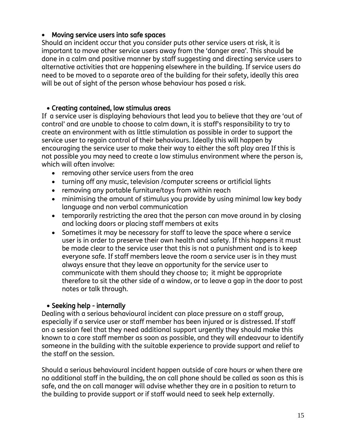#### Moving service users into safe spaces

Should an incident occur that you consider puts other service users at risk, it is important to move other service users away from the 'danger area'. This should be done in a calm and positive manner by staff suggesting and directing service users to alternative activities that are happening elsewhere in the building. If service users do need to be moved to a separate area of the building for their safety, ideally this area will be out of sight of the person whose behaviour has posed a risk.

#### Creating contained, low stimulus areas

If a service user is displaying behaviours that lead you to believe that they are 'out of control' and are unable to choose to calm down, it is staff's responsibility to try to create an environment with as little stimulation as possible in order to support the service user to regain control of their behaviours. Ideally this will happen by encouraging the service user to make their way to either the soft play area If this is not possible you may need to create a low stimulus environment where the person is, which will often involve:

- removing other service users from the area
- turning off any music, television /computer screens or artificial lights
- removing any portable furniture/toys from within reach
- minimising the amount of stimulus you provide by using minimal low key body language and non verbal communication
- temporarily restricting the area that the person can move around in by closing and locking doors or placing staff members at exits
- Sometimes it may be necessary for staff to leave the space where a service user is in order to preserve their own health and safety. If this happens it must be made clear to the service user that this is not a punishment and is to keep everyone safe. If staff members leave the room a service user is in they must always ensure that they leave an opportunity for the service user to communicate with them should they choose to; it might be appropriate therefore to sit the other side of a window, or to leave a gap in the door to post notes or talk through.

#### • Seeking help - internally

Dealing with a serious behavioural incident can place pressure on a staff group, especially if a service user or staff member has been injured or is distressed. If staff on a session feel that they need additional support urgently they should make this known to a core staff member as soon as possible, and they will endeavour to identify someone in the building with the suitable experience to provide support and relief to the staff on the session.

Should a serious behavioural incident happen outside of core hours or when there are no additional staff in the building, the on call phone should be called as soon as this is safe, and the on call manager will advise whether they are in a position to return to the building to provide support or if staff would need to seek help externally.